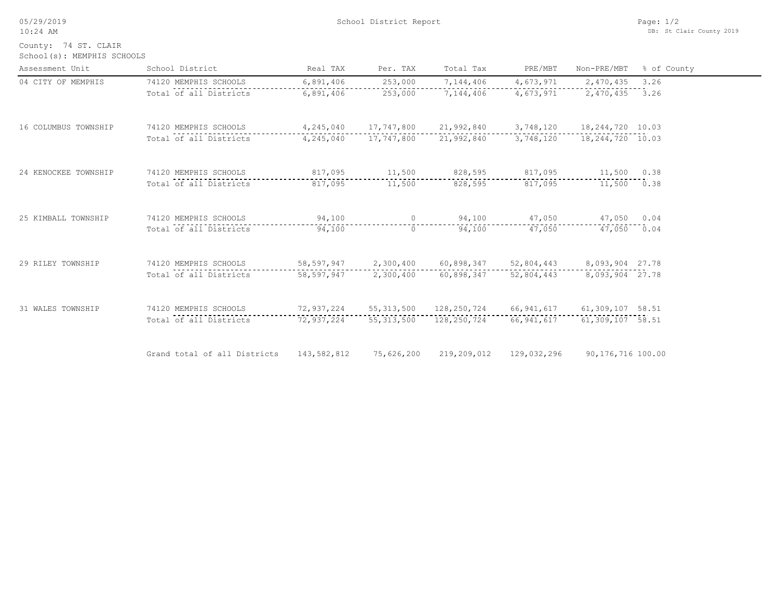05/29/2019

10:24 AM

School District Report

School(s): MEMPHIS SCHOOLS County: 74 ST. CLAIR

| Assessment Unit      | School District              | Real TAX    | Per. TAX                 | Total Tax                                       | PRE/MBT               | Non-PRE/MBT       | % of County |
|----------------------|------------------------------|-------------|--------------------------|-------------------------------------------------|-----------------------|-------------------|-------------|
| 04 CITY OF MEMPHIS   | 74120 MEMPHIS SCHOOLS        | 6,891,406   | 253,000                  | 7,144,406                                       | 4,673,971             | 2,470,435         | 3.26        |
|                      | Total of all Districts       | 6,891,406   | 253,000                  | 7,144,406                                       | 4,673,971             | 2,470,435         | 3.26        |
| 16 COLUMBUS TOWNSHIP | 74120 MEMPHIS SCHOOLS        |             | 4, 245, 040 17, 747, 800 | 21,992,840                                      | 3,748,120             | 18,244,720 10.03  |             |
|                      | Total of all Districts       |             | 4, 245, 040 17, 747, 800 | 21,992,840                                      | 3,748,120             | 18,244,720 10.03  |             |
| 24 KENOCKEE TOWNSHIP | 74120 MEMPHIS SCHOOLS        |             |                          | 817,095 11,500 828,595 817,095                  |                       | 11,500 0.38       |             |
|                      | Total of all Districts       | 817,095     | 11,500                   | 828,595                                         | 817,095               | 11,500 0.38       |             |
| 25 KIMBALL TOWNSHIP  | 74120 MEMPHIS SCHOOLS        | 94,100      |                          | 0 94,100 47,050 47,050 0.04                     |                       |                   |             |
|                      | Total of all Districts       | 94,100      | $\Omega$                 | 94,100                                          | 47,050                | 47,050 0.04       |             |
| 29 RILEY TOWNSHIP    | 74120 MEMPHIS SCHOOLS        |             | 58,597,947 2,300,400     | $60,898,347$ $52,804,443$ $8,093,904$ 27.78     |                       |                   |             |
|                      | Total of all Districts       | 58,597,947  | 2,300,400                |                                                 | 60,898,347 52,804,443 | 8,093,904 27.78   |             |
| 31 WALES TOWNSHIP    | 74120 MEMPHIS SCHOOLS        |             |                          | 72,937,224  55,313,500  128,250,724  66,941,617 |                       | 61,309,107 58.51  |             |
|                      | Total of all Districts       | 72,937,224  | 55,313,500               | 128,250,724                                     | 66,941,617            | 61,309,107 58.51  |             |
|                      | Grand total of all Districts | 143,582,812 | 75,626,200               | 219,209,012                                     | 129,032,296           | 90,176,716 100.00 |             |